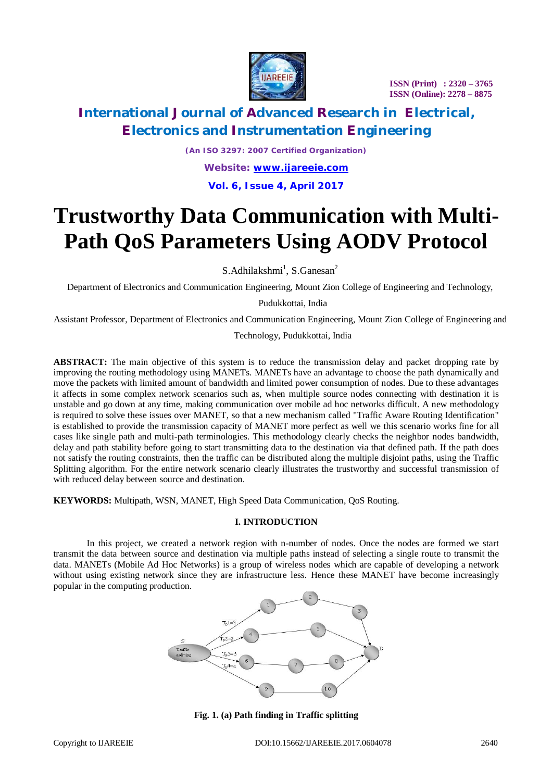

# **International Journal of Advanced Research in Electrical, Electronics and Instrumentation Engineering**

*(An ISO 3297: 2007 Certified Organization) Website: [www.ijareeie.com](http://www.ijareeie.com)*

**Vol. 6, Issue 4, April 2017**

# **Trustworthy Data Communication with Multi-Path QoS Parameters Using AODV Protocol**

S.Adhilakshmi<sup>1</sup>, S.Ganesan<sup>2</sup>

Department of Electronics and Communication Engineering, Mount Zion College of Engineering and Technology,

Pudukkottai, India

Assistant Professor, Department of Electronics and Communication Engineering, Mount Zion College of Engineering and

Technology, Pudukkottai, India

**ABSTRACT:** The main objective of this system is to reduce the transmission delay and packet dropping rate by improving the routing methodology using MANETs. MANETs have an advantage to choose the path dynamically and move the packets with limited amount of bandwidth and limited power consumption of nodes. Due to these advantages it affects in some complex network scenarios such as, when multiple source nodes connecting with destination it is unstable and go down at any time, making communication over mobile ad hoc networks difficult. A new methodology is required to solve these issues over MANET, so that a new mechanism called "Traffic Aware Routing Identification" is established to provide the transmission capacity of MANET more perfect as well we this scenario works fine for all cases like single path and multi-path terminologies. This methodology clearly checks the neighbor nodes bandwidth, delay and path stability before going to start transmitting data to the destination via that defined path. If the path does not satisfy the routing constraints, then the traffic can be distributed along the multiple disjoint paths, using the Traffic Splitting algorithm. For the entire network scenario clearly illustrates the trustworthy and successful transmission of with reduced delay between source and destination.

**KEYWORDS:** Multipath, WSN, MANET, High Speed Data Communication, QoS Routing.

# **I. INTRODUCTION**

In this project, we created a network region with n-number of nodes. Once the nodes are formed we start transmit the data between source and destination via multiple paths instead of selecting a single route to transmit the data. MANETs (Mobile Ad Hoc Networks) is a group of wireless nodes which are capable of developing a network without using existing network since they are infrastructure less. Hence these MANET have become increasingly popular in the computing production.



**Fig. 1. (a) Path finding in Traffic splitting**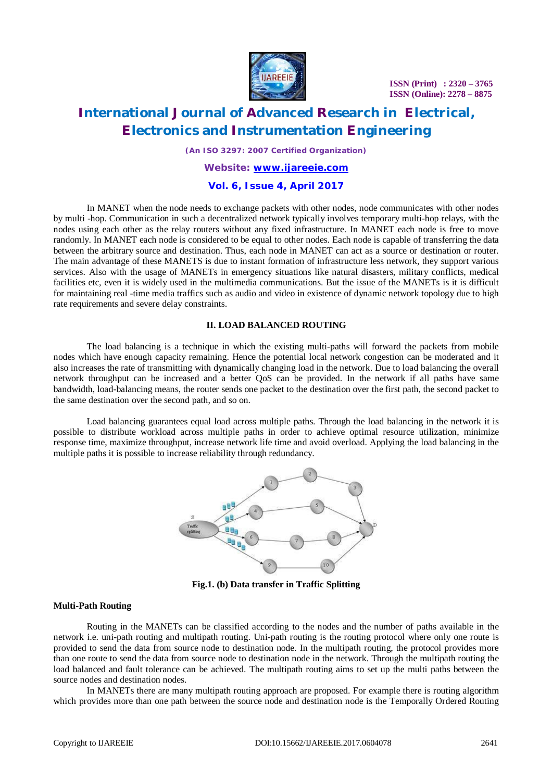

# **International Journal of Advanced Research in Electrical, Electronics and Instrumentation Engineering**

*(An ISO 3297: 2007 Certified Organization)*

### *Website: [www.ijareeie.com](http://www.ijareeie.com)*

### **Vol. 6, Issue 4, April 2017**

In MANET when the node needs to exchange packets with other nodes, node communicates with other nodes by multi -hop. Communication in such a decentralized network typically involves temporary multi-hop relays, with the nodes using each other as the relay routers without any fixed infrastructure. In MANET each node is free to move randomly. In MANET each node is considered to be equal to other nodes. Each node is capable of transferring the data between the arbitrary source and destination. Thus, each node in MANET can act as a source or destination or router. The main advantage of these MANETS is due to instant formation of infrastructure less network, they support various services. Also with the usage of MANETs in emergency situations like natural disasters, military conflicts, medical facilities etc, even it is widely used in the multimedia communications. But the issue of the MANETs is it is difficult for maintaining real -time media traffics such as audio and video in existence of dynamic network topology due to high rate requirements and severe delay constraints.

### **II. LOAD BALANCED ROUTING**

The load balancing is a technique in which the existing multi-paths will forward the packets from mobile nodes which have enough capacity remaining. Hence the potential local network congestion can be moderated and it also increases the rate of transmitting with dynamically changing load in the network. Due to load balancing the overall network throughput can be increased and a better QoS can be provided. In the network if all paths have same bandwidth, load-balancing means, the router sends one packet to the destination over the first path, the second packet to the same destination over the second path, and so on.

Load balancing guarantees equal load across multiple paths. Through the load balancing in the network it is possible to distribute workload across multiple paths in order to achieve optimal resource utilization, minimize response time, maximize throughput, increase network life time and avoid overload. Applying the load balancing in the multiple paths it is possible to increase reliability through redundancy.



**Fig.1. (b) Data transfer in Traffic Splitting**

### **Multi-Path Routing**

Routing in the MANETs can be classified according to the nodes and the number of paths available in the network i.e. uni-path routing and multipath routing. Uni-path routing is the routing protocol where only one route is provided to send the data from source node to destination node. In the multipath routing, the protocol provides more than one route to send the data from source node to destination node in the network. Through the multipath routing the load balanced and fault tolerance can be achieved. The multipath routing aims to set up the multi paths between the source nodes and destination nodes.

In MANETs there are many multipath routing approach are proposed. For example there is routing algorithm which provides more than one path between the source node and destination node is the Temporally Ordered Routing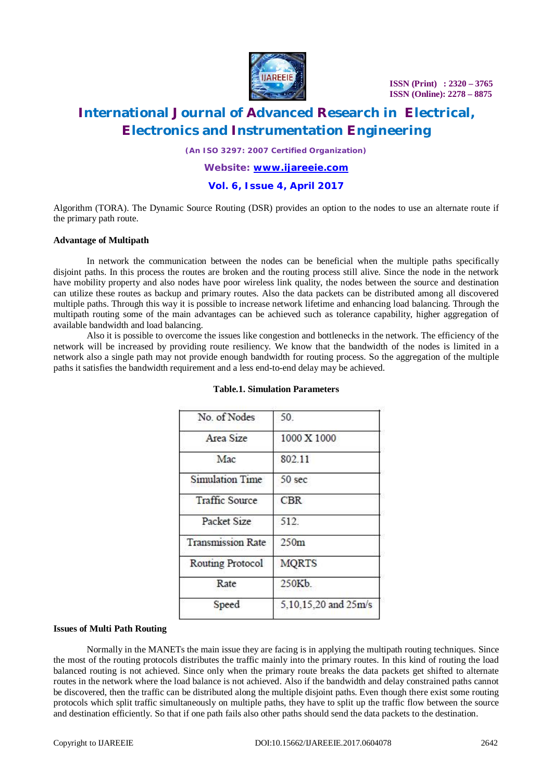

# **International Journal of Advanced Research in Electrical, Electronics and Instrumentation Engineering**

*(An ISO 3297: 2007 Certified Organization)*

### *Website: [www.ijareeie.com](http://www.ijareeie.com)*

### **Vol. 6, Issue 4, April 2017**

Algorithm (TORA). The Dynamic Source Routing (DSR) provides an option to the nodes to use an alternate route if the primary path route.

#### **Advantage of Multipath**

In network the communication between the nodes can be beneficial when the multiple paths specifically disjoint paths. In this process the routes are broken and the routing process still alive. Since the node in the network have mobility property and also nodes have poor wireless link quality, the nodes between the source and destination can utilize these routes as backup and primary routes. Also the data packets can be distributed among all discovered multiple paths. Through this way it is possible to increase network lifetime and enhancing load balancing. Through the multipath routing some of the main advantages can be achieved such as tolerance capability, higher aggregation of available bandwidth and load balancing.

Also it is possible to overcome the issues like congestion and bottlenecks in the network. The efficiency of the network will be increased by providing route resiliency. We know that the bandwidth of the nodes is limited in a network also a single path may not provide enough bandwidth for routing process. So the aggregation of the multiple paths it satisfies the bandwidth requirement and a less end-to-end delay may be achieved.

| No. of Nodes             | 50.                  |  |
|--------------------------|----------------------|--|
| Area Size                | 1000 X 1000          |  |
| M <sub>ac</sub>          | 802.11               |  |
| <b>Simulation Time</b>   | 50 sec               |  |
| <b>Traffic Source</b>    | <b>CBR</b>           |  |
| Packet Size              | 512.                 |  |
| <b>Transmission Rate</b> | 250 <sub>m</sub>     |  |
| Routing Protocol         | <b>MQRTS</b>         |  |
| Rate                     | 250Kb.               |  |
| Speed                    | 5,10,15,20 and 25m/s |  |

### **Table.1. Simulation Parameters**

#### **Issues of Multi Path Routing**

Normally in the MANETs the main issue they are facing is in applying the multipath routing techniques. Since the most of the routing protocols distributes the traffic mainly into the primary routes. In this kind of routing the load balanced routing is not achieved. Since only when the primary route breaks the data packets get shifted to alternate routes in the network where the load balance is not achieved. Also if the bandwidth and delay constrained paths cannot be discovered, then the traffic can be distributed along the multiple disjoint paths. Even though there exist some routing protocols which split traffic simultaneously on multiple paths, they have to split up the traffic flow between the source and destination efficiently. So that if one path fails also other paths should send the data packets to the destination.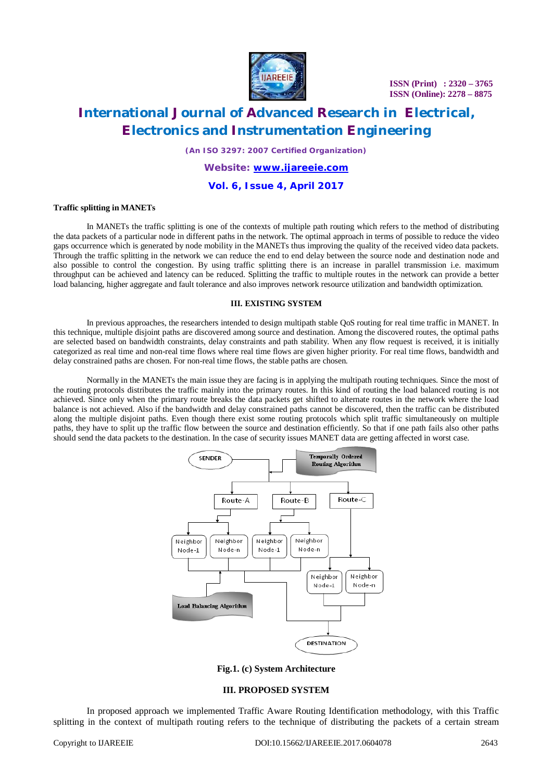

# **International Journal of Advanced Research in Electrical, Electronics and Instrumentation Engineering**

*(An ISO 3297: 2007 Certified Organization)*

*Website: [www.ijareeie.com](http://www.ijareeie.com)*

### **Vol. 6, Issue 4, April 2017**

#### **Traffic splitting in MANETs**

In MANETs the traffic splitting is one of the contexts of multiple path routing which refers to the method of distributing the data packets of a particular node in different paths in the network. The optimal approach in terms of possible to reduce the video gaps occurrence which is generated by node mobility in the MANETs thus improving the quality of the received video data packets. Through the traffic splitting in the network we can reduce the end to end delay between the source node and destination node and also possible to control the congestion. By using traffic splitting there is an increase in parallel transmission i.e. maximum throughput can be achieved and latency can be reduced. Splitting the traffic to multiple routes in the network can provide a better load balancing, higher aggregate and fault tolerance and also improves network resource utilization and bandwidth optimization.

#### **III. EXISTING SYSTEM**

In previous approaches, the researchers intended to design multipath stable QoS routing for real time traffic in MANET. In this technique, multiple disjoint paths are discovered among source and destination. Among the discovered routes, the optimal paths are selected based on bandwidth constraints, delay constraints and path stability. When any flow request is received, it is initially categorized as real time and non-real time flows where real time flows are given higher priority. For real time flows, bandwidth and delay constrained paths are chosen. For non-real time flows, the stable paths are chosen.

Normally in the MANETs the main issue they are facing is in applying the multipath routing techniques. Since the most of the routing protocols distributes the traffic mainly into the primary routes. In this kind of routing the load balanced routing is not achieved. Since only when the primary route breaks the data packets get shifted to alternate routes in the network where the load balance is not achieved. Also if the bandwidth and delay constrained paths cannot be discovered, then the traffic can be distributed along the multiple disjoint paths. Even though there exist some routing protocols which split traffic simultaneously on multiple paths, they have to split up the traffic flow between the source and destination efficiently. So that if one path fails also other paths should send the data packets to the destination. In the case of security issues MANET data are getting affected in worst case.



**Fig.1. (c) System Architecture**

### **III. PROPOSED SYSTEM**

In proposed approach we implemented Traffic Aware Routing Identification methodology, with this Traffic splitting in the context of multipath routing refers to the technique of distributing the packets of a certain stream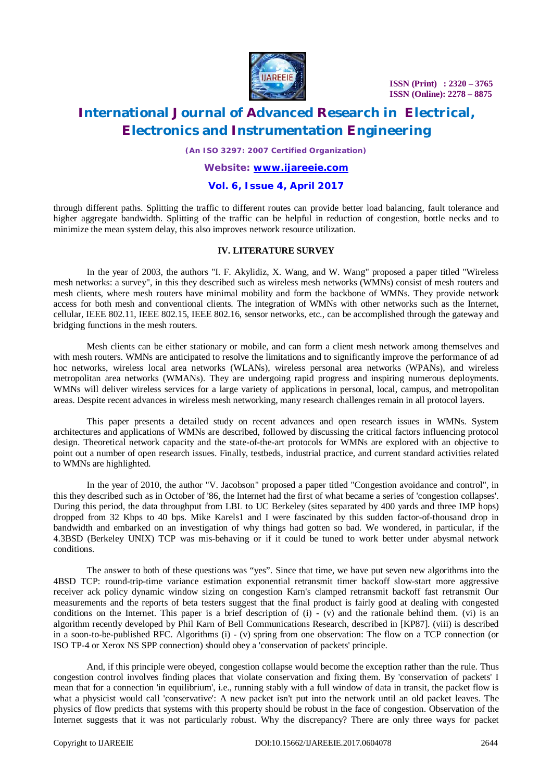

# **International Journal of Advanced Research in Electrical, Electronics and Instrumentation Engineering**

*(An ISO 3297: 2007 Certified Organization)*

### *Website: [www.ijareeie.com](http://www.ijareeie.com)*

### **Vol. 6, Issue 4, April 2017**

through different paths. Splitting the traffic to different routes can provide better load balancing, fault tolerance and higher aggregate bandwidth. Splitting of the traffic can be helpful in reduction of congestion, bottle necks and to minimize the mean system delay, this also improves network resource utilization.

### **IV. LITERATURE SURVEY**

In the year of 2003, the authors "I. F. Akylidiz, X. Wang, and W. Wang" proposed a paper titled "Wireless mesh networks: a survey", in this they described such as wireless mesh networks (WMNs) consist of mesh routers and mesh clients, where mesh routers have minimal mobility and form the backbone of WMNs. They provide network access for both mesh and conventional clients. The integration of WMNs with other networks such as the Internet, cellular, IEEE 802.11, IEEE 802.15, IEEE 802.16, sensor networks, etc., can be accomplished through the gateway and bridging functions in the mesh routers.

Mesh clients can be either stationary or mobile, and can form a client mesh network among themselves and with mesh routers. WMNs are anticipated to resolve the limitations and to significantly improve the performance of ad hoc networks, wireless local area networks (WLANs), wireless personal area networks (WPANs), and wireless metropolitan area networks (WMANs). They are undergoing rapid progress and inspiring numerous deployments. WMNs will deliver wireless services for a large variety of applications in personal, local, campus, and metropolitan areas. Despite recent advances in wireless mesh networking, many research challenges remain in all protocol layers.

This paper presents a detailed study on recent advances and open research issues in WMNs. System architectures and applications of WMNs are described, followed by discussing the critical factors influencing protocol design. Theoretical network capacity and the state-of-the-art protocols for WMNs are explored with an objective to point out a number of open research issues. Finally, testbeds, industrial practice, and current standard activities related to WMNs are highlighted.

In the year of 2010, the author "V. Jacobson" proposed a paper titled "Congestion avoidance and control", in this they described such as in October of '86, the Internet had the first of what became a series of 'congestion collapses'. During this period, the data throughput from LBL to UC Berkeley (sites separated by 400 yards and three IMP hops) dropped from 32 Kbps to 40 bps. Mike Karels1 and I were fascinated by this sudden factor-of-thousand drop in bandwidth and embarked on an investigation of why things had gotten so bad. We wondered, in particular, if the 4.3BSD (Berkeley UNIX) TCP was mis-behaving or if it could be tuned to work better under abysmal network conditions.

The answer to both of these questions was "yes". Since that time, we have put seven new algorithms into the 4BSD TCP: round-trip-time variance estimation exponential retransmit timer backoff slow-start more aggressive receiver ack policy dynamic window sizing on congestion Karn's clamped retransmit backoff fast retransmit Our measurements and the reports of beta testers suggest that the final product is fairly good at dealing with congested conditions on the Internet. This paper is a brief description of  $(i)$  -  $(v)$  and the rationale behind them.  $(vi)$  is an algorithm recently developed by Phil Karn of Bell Communications Research, described in [KP87]. (viii) is described in a soon-to-be-published RFC. Algorithms (i) - (v) spring from one observation: The flow on a TCP connection (or ISO TP-4 or Xerox NS SPP connection) should obey a 'conservation of packets' principle.

And, if this principle were obeyed, congestion collapse would become the exception rather than the rule. Thus congestion control involves finding places that violate conservation and fixing them. By 'conservation of packets' I mean that for a connection 'in equilibrium', i.e., running stably with a full window of data in transit, the packet flow is what a physicist would call 'conservative': A new packet isn't put into the network until an old packet leaves. The physics of flow predicts that systems with this property should be robust in the face of congestion. Observation of the Internet suggests that it was not particularly robust. Why the discrepancy? There are only three ways for packet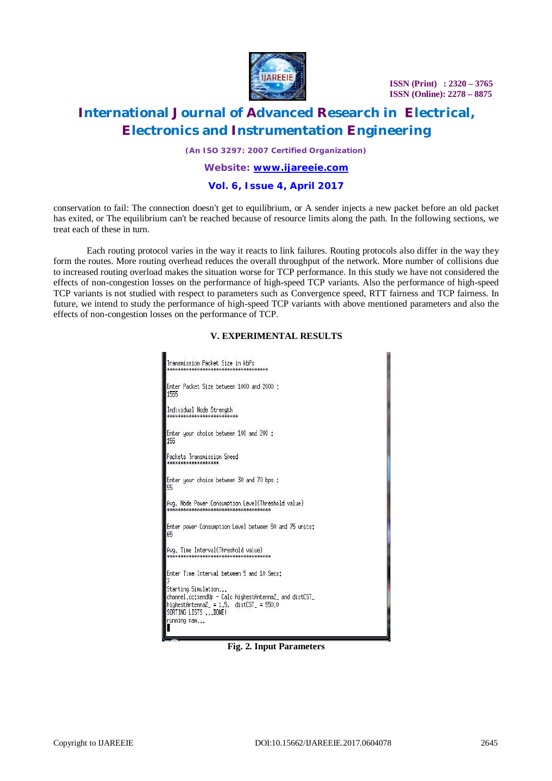

# **International Journal of Advanced Research in Electrical, Electronics and Instrumentation Engineering**

*(An ISO 3297: 2007 Certified Organization)*

#### *Website: [www.ijareeie.com](http://www.ijareeie.com)*

### **Vol. 6, Issue 4, April 2017**

conservation to fail: The connection doesn't get to equilibrium, or A sender injects a new packet before an old packet has exited, or The equilibrium can't be reached because of resource limits along the path. In the following sections, we treat each of these in turn.

Each routing protocol varies in the way it reacts to link failures. Routing protocols also differ in the way they form the routes. More routing overhead reduces the overall throughput of the network. More number of collisions due to increased routing overload makes the situation worse for TCP performance. In this study we have not considered the effects of non-congestion losses on the performance of high-speed TCP variants. Also the performance of high-speed TCP variants is not studied with respect to parameters such as Convergence speed, RTT fairness and TCP fairness. In future, we intend to study the performance of high-speed TCP variants with above mentioned parameters and also the effects of non-congestion losses on the performance of TCP.

# Fransmission Packet Size in kbPs Enter Packet Size between 1000 and 2000 : 1555 Individual Node Strength Enter your choice between 100 and 200 : 155 Packets Transmission Speed Enter your choice between 30 and 70 bps : Avg. Node Power Consumption Level(Threshold value) Enter power Consumption Level between 50 and 75 units: Avg. Time Interval(Threshold value) Enter Time Interval between 5 and 10 Secs: r<br>Starting Simulation...<br>channel.cctsendUp - Calc highestAntennaZ\_ and distCST\_<br>highestAntennaZ\_ = 1,5, distCST\_ = 550.0<br>SOMRING LISTS ...DONE!<br>ENERGY DIST ...DONE! unning nam...

### **V. EXPERIMENTAL RESULTS**

**Fig. 2. Input Parameters**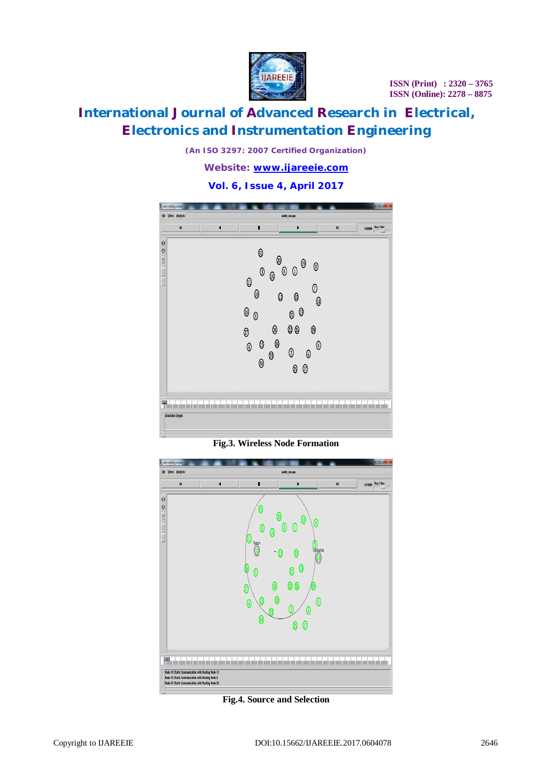

# **International Journal of Advanced Research in Electrical, Electronics and Instrumentation Engineering**

*(An ISO 3297: 2007 Certified Organization)*

*Website: [www.ijareeie.com](http://www.ijareeie.com)*



**Fig.3. Wireless Node Formation**



**Fig.4. Source and Selection**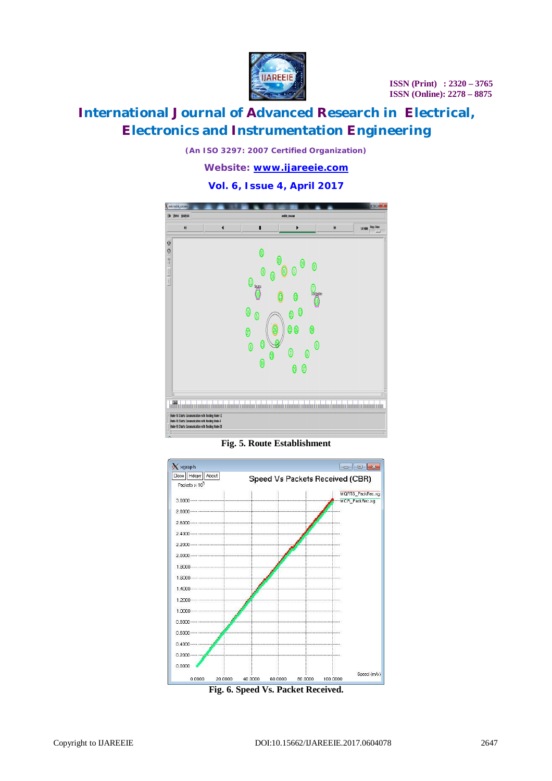

# **International Journal of Advanced Research in Electrical, Electronics and Instrumentation Engineering**

*(An ISO 3297: 2007 Certified Organization)*

*Website: [www.ijareeie.com](http://www.ijareeie.com)*



**Fig. 5. Route Establishment**

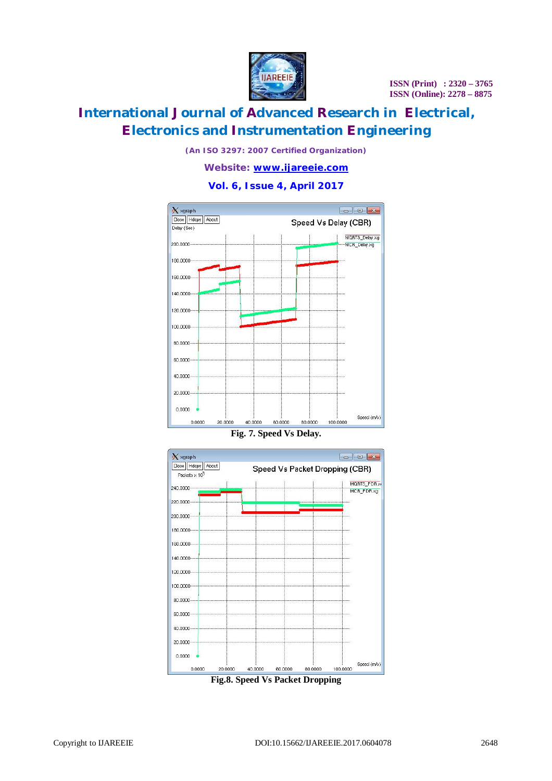

# **International Journal of Advanced Research in Electrical, Electronics and Instrumentation Engineering**

*(An ISO 3297: 2007 Certified Organization)*

*Website: [www.ijareeie.com](http://www.ijareeie.com)*

# **Vol. 6, Issue 4, April 2017**



**Fig. 7. Speed Vs Delay.**



**Fig.8. Speed Vs Packet Dropping**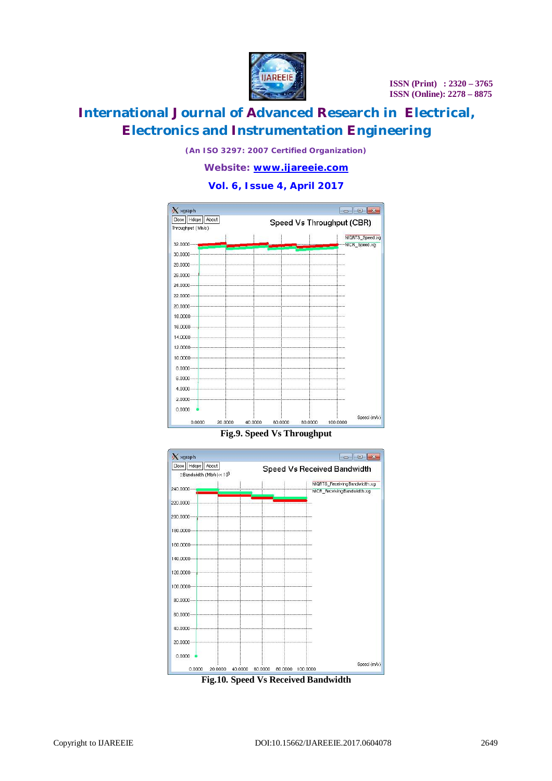

# **International Journal of Advanced Research in Electrical, Electronics and Instrumentation Engineering**

*(An ISO 3297: 2007 Certified Organization)*

*Website: [www.ijareeie.com](http://www.ijareeie.com)*

| X xgraph<br>Close   Hdcpy   About |                               |                         |  |
|-----------------------------------|-------------------------------|-------------------------|--|
| Throughput (Mb/s)                 | Speed Vs Throughput (CBR)     |                         |  |
|                                   |                               | MQRTS_Speed.xg          |  |
| 32.0000                           | <b>Professional Action</b>    | MCR_Speed.xg            |  |
| 30.0000                           |                               |                         |  |
|                                   |                               |                         |  |
|                                   |                               |                         |  |
|                                   |                               |                         |  |
|                                   |                               |                         |  |
|                                   |                               |                         |  |
|                                   |                               |                         |  |
|                                   |                               |                         |  |
|                                   |                               |                         |  |
|                                   |                               |                         |  |
|                                   |                               |                         |  |
|                                   |                               |                         |  |
|                                   |                               |                         |  |
|                                   |                               |                         |  |
|                                   |                               |                         |  |
| 0.0000                            |                               |                         |  |
| 0.0000<br>20,0000                 | 40.0000<br>60.0000<br>80.0000 | Speed (m/s)<br>100,0000 |  |

**Fig.9. Speed Vs Throughput**



**Fig.10. Speed Vs Received Bandwidth**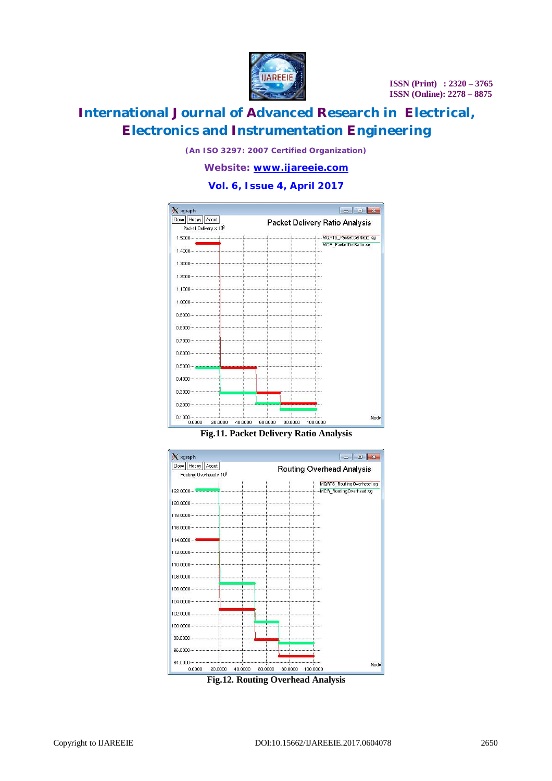

# **International Journal of Advanced Research in Electrical, Electronics and Instrumentation Engineering**

*(An ISO 3297: 2007 Certified Organization)*

*Website: [www.ijareeie.com](http://www.ijareeie.com)*



**Fig.11. Packet Delivery Ratio Analysis**



**Fig.12. Routing Overhead Analysis**